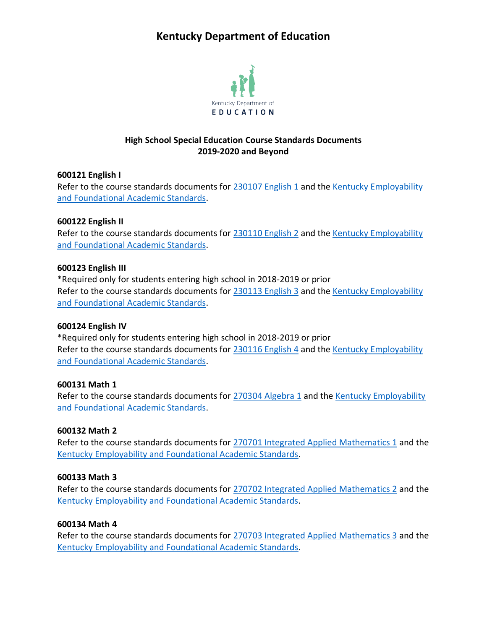# **Kentucky Department of Education**



# **High School Special Education Course Standards Documents 2019-2020 and Beyond**

#### **600121 English I**

Refer to the course standards documents for [230107 English 1](https://education.ky.gov/curriculum/standards/kyacadstand/Documents/230107_English_1_2019.pdf) and the [Kentucky Employability](https://education.ky.gov/curriculum/standards/kyacadstand/Documents/EFASAA_Standards.pdf)  [and Foundational Academic Standards.](https://education.ky.gov/curriculum/standards/kyacadstand/Documents/EFASAA_Standards.pdf)

# **600122 English II**

Refer to the course standards documents for [230110 English 2](https://education.ky.gov/curriculum/standards/kyacadstand/Documents/230110_English_2_2019.pdf) and the [Kentucky Employability](https://education.ky.gov/curriculum/standards/kyacadstand/Documents/EFASAA_Standards.pdf)  [and Foundational Academic Standards.](https://education.ky.gov/curriculum/standards/kyacadstand/Documents/EFASAA_Standards.pdf)

## **600123 English III**

\*Required only for students entering high school in 2018-2019 or prior Refer to the course standards documents for [230113 English 3](https://education.ky.gov/curriculum/standards/kyacadstand/Documents/230113_English_3_2019.pdf) and the [Kentucky Employability](https://education.ky.gov/curriculum/standards/kyacadstand/Documents/EFASAA_Standards.pdf) [and Foundational Academic Standards.](https://education.ky.gov/curriculum/standards/kyacadstand/Documents/EFASAA_Standards.pdf)

#### **600124 English IV**

\*Required only for students entering high school in 2018-2019 or prior Refer to the course standards documents for [230116 English 4](https://education.ky.gov/curriculum/standards/kyacadstand/Documents/230116_English_4_2019.pdf) and the [Kentucky Employability](https://education.ky.gov/curriculum/standards/kyacadstand/Documents/EFASAA_Standards.pdf) [and Foundational Academic Standards.](https://education.ky.gov/curriculum/standards/kyacadstand/Documents/EFASAA_Standards.pdf)

#### **600131 Math 1**

Refer to the course standards documents for [270304 Algebra 1](https://education.ky.gov/curriculum/standards/kyacadstand/Documents/270304_Algebra_1_2019.pdf) and the Kentucky Employability [and Foundational Academic Standards.](https://education.ky.gov/curriculum/standards/kyacadstand/Documents/EFASAA_Standards.pdf)

# **600132 Math 2**

Refer to the course standards documents for [270701 Integrated Applied Mathematics 1](https://education.ky.gov/curriculum/standards/kyacadstand/Documents/270701_Integrated_Applied_Mathematics_1_2019.pdf) and the [Kentucky Employability and Foundational Academic Standards.](https://education.ky.gov/curriculum/standards/kyacadstand/Documents/EFASAA_Standards.pdf)

#### **600133 Math 3**

Refer to the course standards documents for [270702 Integrated Applied Mathematics 2](https://education.ky.gov/curriculum/standards/kyacadstand/Documents/270702_Integrated_Applied_Mathematics_2_2019.pdf) and the [Kentucky Employability and Foundational Academic Standards.](https://education.ky.gov/curriculum/standards/kyacadstand/Documents/EFASAA_Standards.pdf)

#### **600134 Math 4**

Refer to the course standards documents for [270703 Integrated Applied Mathematics 3](https://education.ky.gov/curriculum/standards/kyacadstand/Documents/270703_Integrated_Applied_Mathematics_3_2019.pdf) and the [Kentucky Employability and Foundational Academic Standards.](https://education.ky.gov/curriculum/standards/kyacadstand/Documents/EFASAA_Standards.pdf)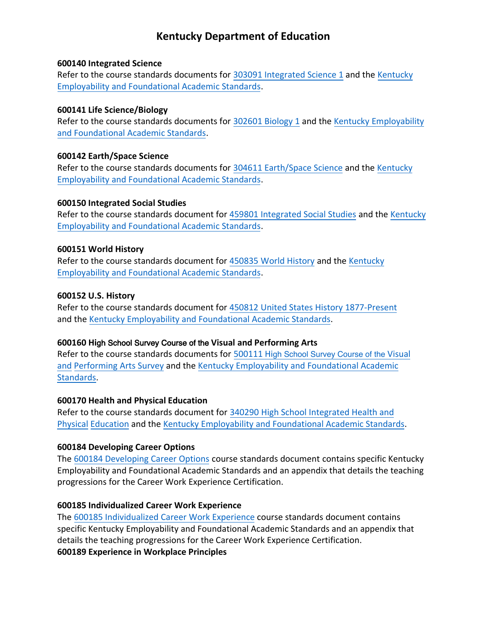# **Kentucky Department of Education**

#### **600140 Integrated Science**

Refer to the course standards documents for [303091 Integrated Science 1](https://education.ky.gov/curriculum/standards/kyacadstand/Documents/303091_Integrated_Science_I.pdf) and the [Kentucky](https://education.ky.gov/curriculum/standards/kyacadstand/Documents/EFASAA_Standards.pdf) [Employability and Foundational Academic Standards.](https://education.ky.gov/curriculum/standards/kyacadstand/Documents/EFASAA_Standards.pdf)

#### **600141 Life Science/Biology**

Refer to the course standards documents for [302601 Biology 1](https://education.ky.gov/curriculum/standards/kyacadstand/Documents/302601_Biology_I.pdf) and the [Kentucky Employability](https://education.ky.gov/curriculum/standards/kyacadstand/Documents/EFASAA_Standards.pdf) [and Foundational Academic Standards.](https://education.ky.gov/curriculum/standards/kyacadstand/Documents/EFASAA_Standards.pdf)

## **600142 Earth/Space Science**

Refer to the course standards documents for [304611 Earth/Space Science](https://education.ky.gov/curriculum/standards/kyacadstand/Documents/304611_Earth_Space_Science.pdf) and the [Kentucky](https://education.ky.gov/curriculum/standards/kyacadstand/Documents/EFASAA_Standards.pdf) [Employability and Foundational Academic Standards.](https://education.ky.gov/curriculum/standards/kyacadstand/Documents/EFASAA_Standards.pdf)

## **600150 Integrated Social Studies**

Refer to the course standards document for [459801 Integrated Social Studies](https://education.ky.gov/curriculum/standards/kyacadstand/Documents/459801_Integrated_Social_Studies_2019.pdf) and the [Kentucky](https://education.ky.gov/curriculum/standards/kyacadstand/Documents/EFASAA_Standards.pdf) [Employability and Foundational Academic Standards.](https://education.ky.gov/curriculum/standards/kyacadstand/Documents/EFASAA_Standards.pdf)

## **600151 World History**

Refer to the course standards document for [450835 World History](https://education.ky.gov/curriculum/standards/kyacadstand/Documents/450835_World_History_2019.pdf) and the [Kentucky](https://education.ky.gov/curriculum/standards/kyacadstand/Documents/EFASAA_Standards.pdf) [Employability and Foundational Academic Standards.](https://education.ky.gov/curriculum/standards/kyacadstand/Documents/EFASAA_Standards.pdf)

## **600152 U.S. History**

Refer to the course standards document for [450812 United States History 1877-Present](https://education.ky.gov/curriculum/standards/kyacadstand/Documents/450812_United_States_History_1877-Present_2019.pdf) and the [Kentucky Employability and Foundational Academic Standards.](https://education.ky.gov/curriculum/standards/kyacadstand/Documents/EFASAA_Standards.pdf)

# **600160 Hi**gh School Survey Course of the **Visual and Performing Arts**

Refer to the course standards documents for 500111 Hi[gh School Survey Course of the](https://education.ky.gov/curriculum/standards/kyacadstand/Documents/500111_High_School_Survey_Course_of_the_Visual_and_Performing_Arts.pdf) Visual and [Performing Arts Survey](https://education.ky.gov/curriculum/standards/kyacadstand/Documents/500111_High_School_Survey_Course_of_the_Visual_and_Performing_Arts.pdf) an[d the Kentucky Employability and Foundational Academic](https://education.ky.gov/curriculum/standards/kyacadstand/Documents/EFASAA_Standards.pdf)  Standards.

# **600170 Health and Physical Education**

Refer to the course standards document fo[r 340290 High School Integrated Health and](https://education.ky.gov/curriculum/standards/kyacadstand/Documents/340290_High_School_Integrated_Health_and_Physical_Education_2019.pdf)  [Physical Education](https://education.ky.gov/curriculum/standards/kyacadstand/Documents/340290_High_School_Integrated_Health_and_Physical_Education_2019.pdf) and the [Kentucky Employability and Foundational Academic Standards.](https://education.ky.gov/curriculum/standards/kyacadstand/Documents/EFASAA_Standards.pdf)

# **600184 Developing Career Options**

The [600184 Developing Career Options](https://education.ky.gov/curriculum/standards/kyacadstand/Documents/600184_Developing_Career_Options.pdf) course standards document contains specific Kentucky Employability and Foundational Academic Standards and an appendix that details the teaching progressions for the Career Work Experience Certification.

# **600185 Individualized Career Work Experience**

The [600185 Individualized Career Work Experience](https://education.ky.gov/curriculum/standards/kyacadstand/Documents/600185_Individualized_Career_Work_Experience.pdf) course standards document contains specific Kentucky Employability and Foundational Academic Standards and an appendix that details the teaching progressions for the Career Work Experience Certification. **600189 Experience in Workplace Principles**